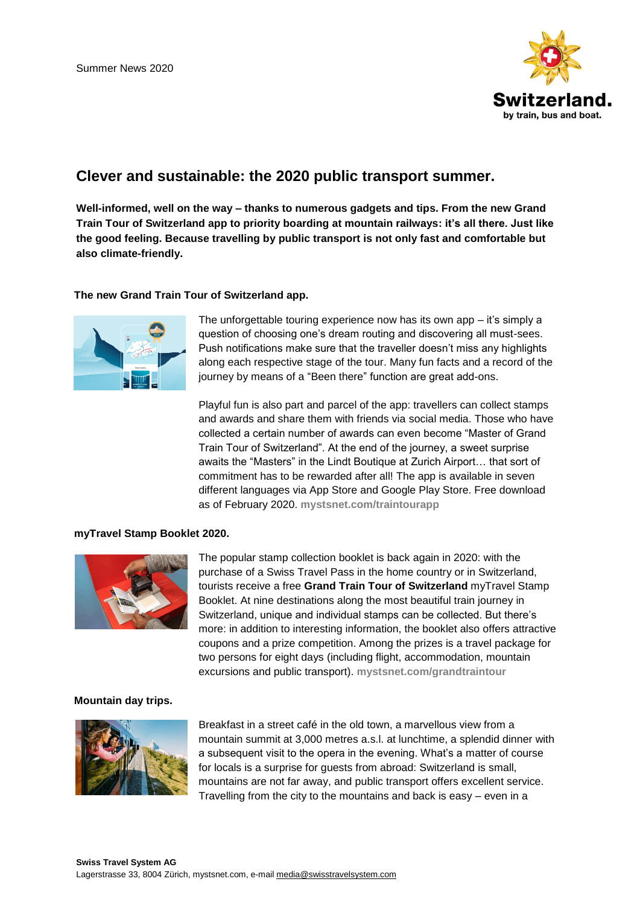

# **Clever and sustainable: the 2020 public transport summer.**

**Well-informed, well on the way – thanks to numerous gadgets and tips. From the new Grand Train Tour of Switzerland app to priority boarding at mountain railways: it's all there. Just like the good feeling. Because travelling by public transport is not only fast and comfortable but also climate-friendly.**

## **The new Grand Train Tour of Switzerland app.**



The unforgettable touring experience now has its own app – it's simply a question of choosing one's dream routing and discovering all must-sees. Push notifications make sure that the traveller doesn't miss any highlights along each respective stage of the tour. Many fun facts and a record of the journey by means of a "Been there" function are great add-ons.

Playful fun is also part and parcel of the app: travellers can collect stamps and awards and share them with friends via social media. Those who have collected a certain number of awards can even become "Master of Grand Train Tour of Switzerland". At the end of the journey, a sweet surprise awaits the "Masters" in the Lindt Boutique at Zurich Airport… that sort of commitment has to be rewarded after all! The app is available in seven different languages via App Store and Google Play Store. Free download as of February 2020. **[mystsnet.com/traintourapp](https://www.mystsnet.com/en/information/swiss-travel-system/grand-train-tour-of-switzerland/grand-train-tour-of-switzerland-app/)**

#### **myTravel Stamp Booklet 2020.**



The popular stamp collection booklet is back again in 2020: with the purchase of a Swiss Travel Pass in the home country or in Switzerland, tourists receive a free **Grand Train Tour of Switzerland** myTravel Stamp Booklet. At nine destinations along the most beautiful train journey in Switzerland, unique and individual stamps can be collected. But there's more: in addition to interesting information, the booklet also offers attractive coupons and a prize competition. Among the prizes is a travel package for two persons for eight days (including flight, accommodation, mountain excursions and public transport). **[mystsnet.com/grandtraintour](https://www.mystsnet.com/en/information/swiss-travel-system/grand-train-tour-of-switzerland/)**

## **Mountain day trips.**



Breakfast in a street café in the old town, a marvellous view from a mountain summit at 3,000 metres a.s.l. at lunchtime, a splendid dinner with a subsequent visit to the opera in the evening. What's a matter of course for locals is a surprise for guests from abroad: Switzerland is small, mountains are not far away, and public transport offers excellent service. Travelling from the city to the mountains and back is easy – even in a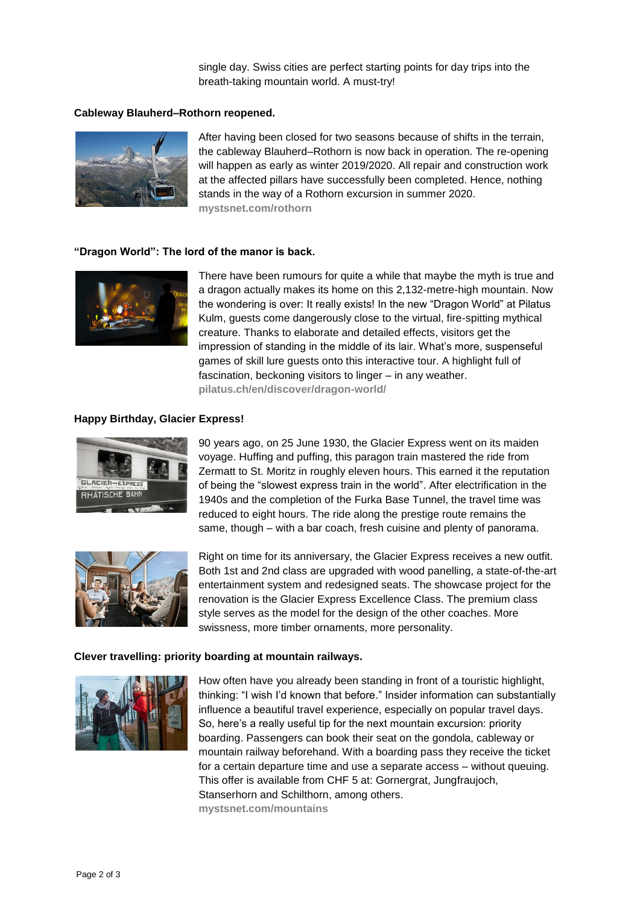single day. Swiss cities are perfect starting points for day trips into the breath-taking mountain world. A must-try!

#### **Cableway Blauherd–Rothorn reopened.**



After having been closed for two seasons because of shifts in the terrain, the cableway Blauherd–Rothorn is now back in operation. The re-opening will happen as early as winter 2019/2020. All repair and construction work at the affected pillars have successfully been completed. Hence, nothing stands in the way of a Rothorn excursion in summer 2020. **[mystsnet.com/rothorn](https://www.mystsnet.com/en/information/swiss-travel-system/mountain-excursions/rothorn-zermatt/)**

#### **"Dragon World": The lord of the manor is back.**



There have been rumours for quite a while that maybe the myth is true and a dragon actually makes its home on this 2,132-metre-high mountain. Now the wondering is over: It really exists! In the new "Dragon World" at Pilatus Kulm, guests come dangerously close to the virtual, fire-spitting mythical creature. Thanks to elaborate and detailed effects, visitors get the impression of standing in the middle of its lair. What's more, suspenseful games of skill lure guests onto this interactive tour. A highlight full of fascination, beckoning visitors to linger – in any weather. **[pilatus.ch/en/discover/dragon-world/](https://www.pilatus.ch/en/discover/dragon-world/)**

#### **Happy Birthday, Glacier Express!**



90 years ago, on 25 June 1930, the Glacier Express went on its maiden voyage. Huffing and puffing, this paragon train mastered the ride from Zermatt to St. Moritz in roughly eleven hours. This earned it the reputation of being the "slowest express train in the world". After electrification in the 1940s and the completion of the Furka Base Tunnel, the travel time was reduced to eight hours. The ride along the prestige route remains the same, though – with a bar coach, fresh cuisine and plenty of panorama.



Right on time for its anniversary, the Glacier Express receives a new outfit. Both 1st and 2nd class are upgraded with wood panelling, a state-of-the-art entertainment system and redesigned seats. The showcase project for the renovation is the Glacier Express Excellence Class. The premium class style serves as the model for the design of the other coaches. More swissness, more timber ornaments, more personality.

#### **Clever travelling: priority boarding at mountain railways.**



How often have you already been standing in front of a touristic highlight, thinking: "I wish I'd known that before." Insider information can substantially influence a beautiful travel experience, especially on popular travel days. So, here's a really useful tip for the next mountain excursion: priority boarding. Passengers can book their seat on the gondola, cableway or mountain railway beforehand. With a boarding pass they receive the ticket for a certain departure time and use a separate access – without queuing. This offer is available from CHF 5 at: Gornergrat, Jungfraujoch, Stanserhorn and Schilthorn, among others. **[mystsnet.com/mountains](https://www.mystsnet.com/en/information/swiss-travel-system/mountain-excursions/)**